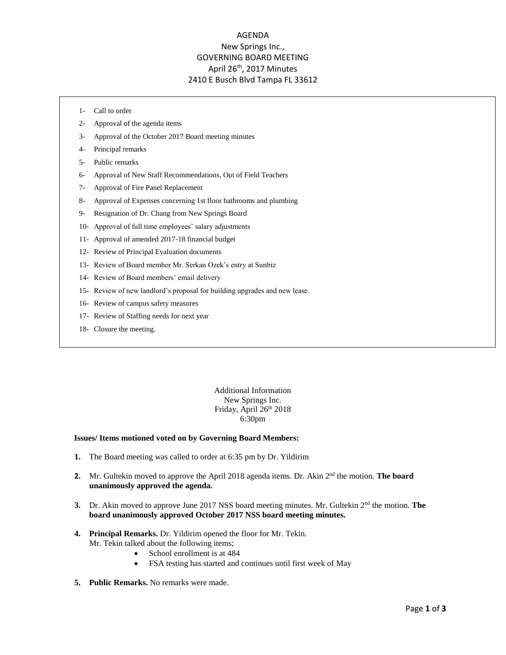## AGENDA New Springs Inc., GOVERNING BOARD MEETING April 26th, 2017 Minutes 2410 E Busch Blvd Tampa FL 33612

- 1- Call to order
- 2- Approval of the agenda items
- 3- Approval of the October 2017 Board meeting minutes
- 4- Principal remarks
- 5- Public remarks
- 6- Approval of New Staff Recommendations, Out of Field Teachers
- 7- Approval of Fire Panel Replacement
- 8- Approval of Expenses concerning 1st floor bathrooms and plumbing
- 9- Resignation of Dr. Chang from New Springs Board
- 10- Approval of full time employees' salary adjustments
- 11- Approval of amended 2017-18 financial budget
- 12- Review of Principal Evaluation documents
- 13- Review of Board member Mr. Serkan Ozek's entry at Sunbiz
- 14- Review of Board members' email delivery
- 15- Review of new landlord's proposal for building upgrades and new lease.
- 16- Review of campus safety measures
- 17- Review of Staffing needs for next year
- 18- Closure the meeting.

Additional Information New Springs Inc. Friday, April 26th 2018 6:30pm

#### **Issues/ Items motioned voted on by Governing Board Members:**

- **1.** The Board meeting was called to order at 6:35 pm by Dr. Yildirim
- 2. Mr. Gultekin moved to approve the April 2018 agenda items. Dr. Akin 2<sup>nd</sup> the motion. **The board unanimously approved the agenda.**
- 3. Dr. Akin moved to approve June 2017 NSS board meeting minutes. Mr. Gultekin 2<sup>nd</sup> the motion. **The board unanimously approved October 2017 NSS board meeting minutes.**
- **4. Principal Remarks.** Dr. Yildirim opened the floor for Mr. Tekin. Mr. Tekin talked about the following items;
	- School enrollment is at 484
	- FSA testing has started and continues until first week of May
- **5. Public Remarks.** No remarks were made.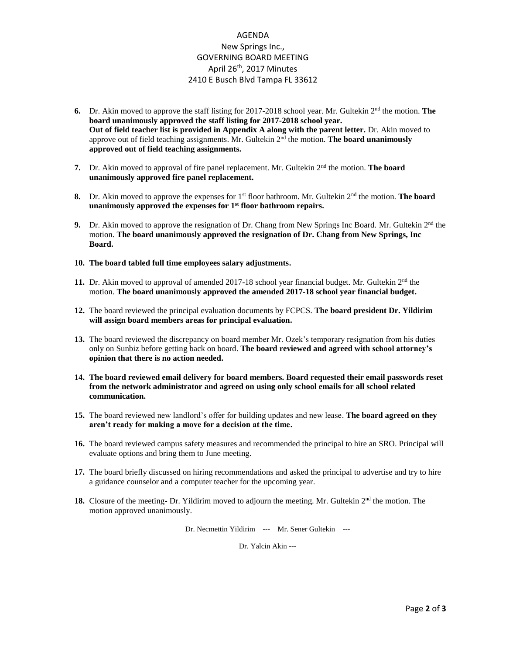## AGENDA New Springs Inc., GOVERNING BOARD MEETING April 26th, 2017 Minutes 2410 E Busch Blvd Tampa FL 33612

- **6.** Dr. Akin moved to approve the staff listing for 2017-2018 school year. Mr. Gultekin 2<sup>nd</sup> the motion. **The board unanimously approved the staff listing for 2017-2018 school year. Out of field teacher list is provided in Appendix A along with the parent letter.** Dr. Akin moved to approve out of field teaching assignments. Mr. Gultekin 2<sup>nd</sup> the motion. **The board unanimously approved out of field teaching assignments.**
- **7.** Dr. Akin moved to approval of fire panel replacement. Mr. Gultekin 2nd the motion. **The board unanimously approved fire panel replacement.**
- **8.** Dr. Akin moved to approve the expenses for 1<sup>st</sup> floor bathroom. Mr. Gultekin 2<sup>nd</sup> the motion. **The board unanimously approved the expenses for 1st floor bathroom repairs.**
- **9.** Dr. Akin moved to approve the resignation of Dr. Chang from New Springs Inc Board. Mr. Gultekin  $2<sup>nd</sup>$  the motion. **The board unanimously approved the resignation of Dr. Chang from New Springs, Inc Board.**
- **10. The board tabled full time employees salary adjustments.**
- 11. Dr. Akin moved to approval of amended  $2017 18$  school year financial budget. Mr. Gultekin  $2<sup>nd</sup>$  the motion. **The board unanimously approved the amended 2017-18 school year financial budget.**
- **12.** The board reviewed the principal evaluation documents by FCPCS. **The board president Dr. Yildirim will assign board members areas for principal evaluation.**
- **13.** The board reviewed the discrepancy on board member Mr. Ozek's temporary resignation from his duties only on Sunbiz before getting back on board. **The board reviewed and agreed with school attorney's opinion that there is no action needed.**
- **14. The board reviewed email delivery for board members. Board requested their email passwords reset from the network administrator and agreed on using only school emails for all school related communication.**
- **15.** The board reviewed new landlord's offer for building updates and new lease. **The board agreed on they aren't ready for making a move for a decision at the time.**
- **16.** The board reviewed campus safety measures and recommended the principal to hire an SRO. Principal will evaluate options and bring them to June meeting.
- **17.** The board briefly discussed on hiring recommendations and asked the principal to advertise and try to hire a guidance counselor and a computer teacher for the upcoming year.
- 18. Closure of the meeting- Dr. Yildirim moved to adjourn the meeting. Mr. Gultekin 2<sup>nd</sup> the motion. The motion approved unanimously.

Dr. Necmettin Yildirim --- Mr. Sener Gultekin ---

Dr. Yalcin Akin ---